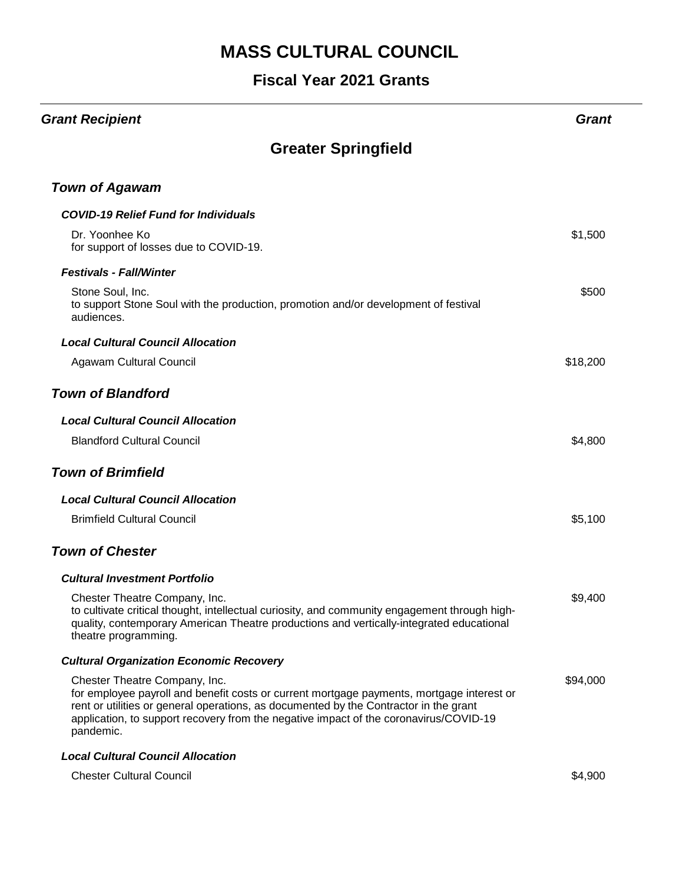| <b>Grant Recipient</b>                                                                                                                                                                                                                                                                                                    | Grant    |
|---------------------------------------------------------------------------------------------------------------------------------------------------------------------------------------------------------------------------------------------------------------------------------------------------------------------------|----------|
| <b>Greater Springfield</b>                                                                                                                                                                                                                                                                                                |          |
| <b>Town of Agawam</b>                                                                                                                                                                                                                                                                                                     |          |
| <b>COVID-19 Relief Fund for Individuals</b>                                                                                                                                                                                                                                                                               |          |
| Dr. Yoonhee Ko<br>for support of losses due to COVID-19.                                                                                                                                                                                                                                                                  | \$1,500  |
| <b>Festivals - Fall/Winter</b>                                                                                                                                                                                                                                                                                            |          |
| Stone Soul, Inc.<br>to support Stone Soul with the production, promotion and/or development of festival<br>audiences.                                                                                                                                                                                                     | \$500    |
| <b>Local Cultural Council Allocation</b>                                                                                                                                                                                                                                                                                  |          |
| Agawam Cultural Council                                                                                                                                                                                                                                                                                                   | \$18,200 |
| <b>Town of Blandford</b>                                                                                                                                                                                                                                                                                                  |          |
| <b>Local Cultural Council Allocation</b>                                                                                                                                                                                                                                                                                  |          |
| <b>Blandford Cultural Council</b>                                                                                                                                                                                                                                                                                         | \$4,800  |
| <b>Town of Brimfield</b>                                                                                                                                                                                                                                                                                                  |          |
| <b>Local Cultural Council Allocation</b>                                                                                                                                                                                                                                                                                  |          |
| <b>Brimfield Cultural Council</b>                                                                                                                                                                                                                                                                                         | \$5,100  |
| <b>Town of Chester</b>                                                                                                                                                                                                                                                                                                    |          |
| <b>Cultural Investment Portfolio</b>                                                                                                                                                                                                                                                                                      |          |
| Chester Theatre Company, Inc.<br>to cultivate critical thought, intellectual curiosity, and community engagement through high-<br>quality, contemporary American Theatre productions and vertically-integrated educational<br>theatre programming.                                                                        | \$9,400  |
| <b>Cultural Organization Economic Recovery</b>                                                                                                                                                                                                                                                                            |          |
| Chester Theatre Company, Inc.<br>for employee payroll and benefit costs or current mortgage payments, mortgage interest or<br>rent or utilities or general operations, as documented by the Contractor in the grant<br>application, to support recovery from the negative impact of the coronavirus/COVID-19<br>pandemic. | \$94,000 |
| <b>Local Cultural Council Allocation</b>                                                                                                                                                                                                                                                                                  |          |
| <b>Chester Cultural Council</b>                                                                                                                                                                                                                                                                                           | \$4,900  |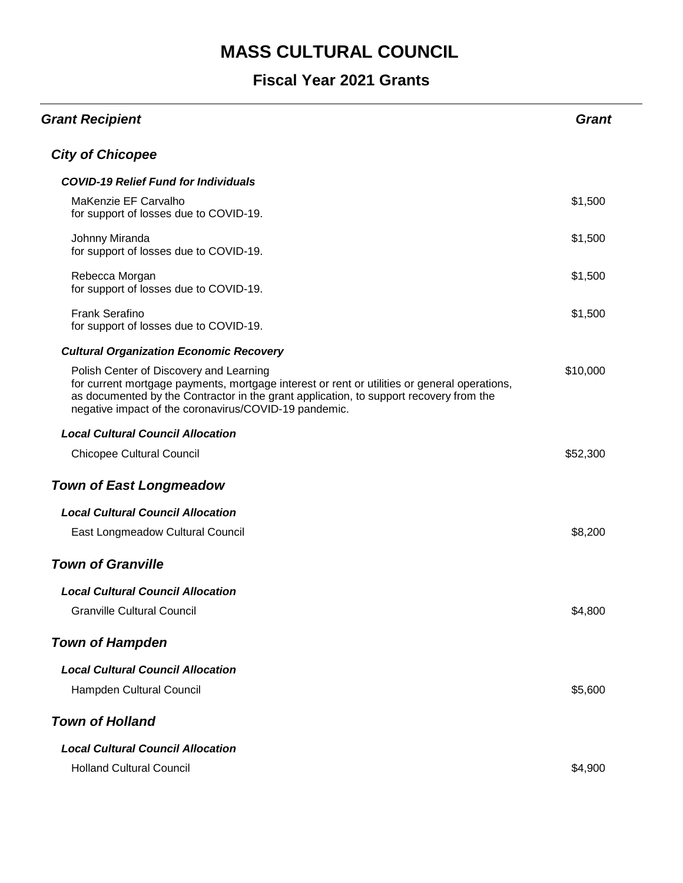| <b>Grant Recipient</b>                                                                                                                                                                                                                                                                     | <b>Grant</b> |
|--------------------------------------------------------------------------------------------------------------------------------------------------------------------------------------------------------------------------------------------------------------------------------------------|--------------|
| <b>City of Chicopee</b>                                                                                                                                                                                                                                                                    |              |
| <b>COVID-19 Relief Fund for Individuals</b>                                                                                                                                                                                                                                                |              |
| MaKenzie EF Carvalho<br>for support of losses due to COVID-19.                                                                                                                                                                                                                             | \$1,500      |
| Johnny Miranda<br>for support of losses due to COVID-19.                                                                                                                                                                                                                                   | \$1,500      |
| Rebecca Morgan<br>for support of losses due to COVID-19.                                                                                                                                                                                                                                   | \$1,500      |
| <b>Frank Serafino</b><br>for support of losses due to COVID-19.                                                                                                                                                                                                                            | \$1,500      |
| <b>Cultural Organization Economic Recovery</b>                                                                                                                                                                                                                                             |              |
| Polish Center of Discovery and Learning<br>for current mortgage payments, mortgage interest or rent or utilities or general operations,<br>as documented by the Contractor in the grant application, to support recovery from the<br>negative impact of the coronavirus/COVID-19 pandemic. | \$10,000     |
| <b>Local Cultural Council Allocation</b>                                                                                                                                                                                                                                                   |              |
| <b>Chicopee Cultural Council</b>                                                                                                                                                                                                                                                           | \$52,300     |
| <b>Town of East Longmeadow</b>                                                                                                                                                                                                                                                             |              |
| <b>Local Cultural Council Allocation</b>                                                                                                                                                                                                                                                   |              |
| East Longmeadow Cultural Council                                                                                                                                                                                                                                                           | \$8,200      |
| <b>Town of Granville</b>                                                                                                                                                                                                                                                                   |              |
| <b>Local Cultural Council Allocation</b>                                                                                                                                                                                                                                                   |              |
| <b>Granville Cultural Council</b>                                                                                                                                                                                                                                                          | \$4,800      |
| <b>Town of Hampden</b>                                                                                                                                                                                                                                                                     |              |
| <b>Local Cultural Council Allocation</b>                                                                                                                                                                                                                                                   |              |
| Hampden Cultural Council                                                                                                                                                                                                                                                                   | \$5,600      |
| <b>Town of Holland</b>                                                                                                                                                                                                                                                                     |              |
| <b>Local Cultural Council Allocation</b>                                                                                                                                                                                                                                                   |              |
| <b>Holland Cultural Council</b>                                                                                                                                                                                                                                                            | \$4,900      |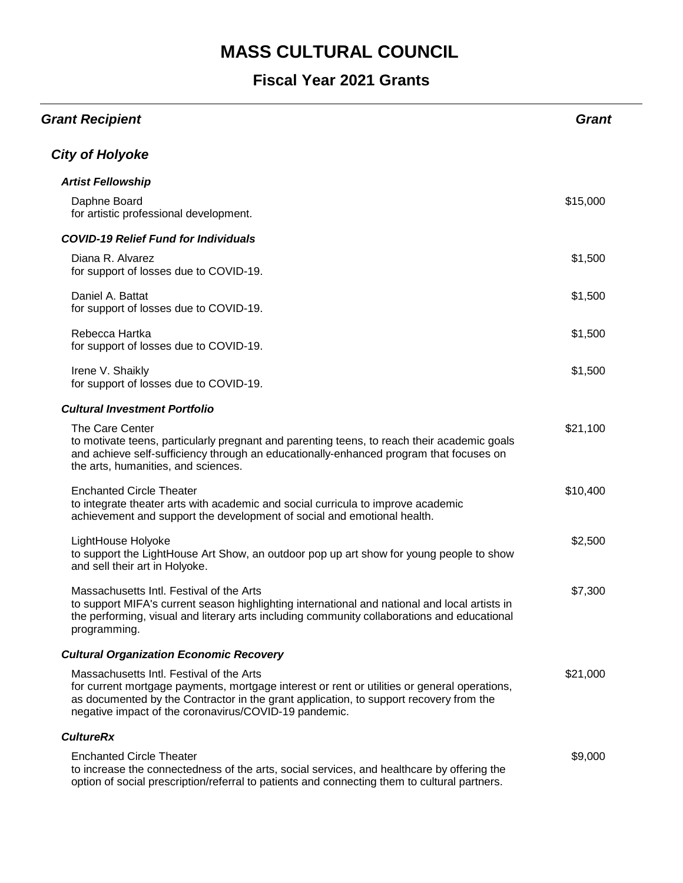| <b>Grant Recipient</b>                                                                                                                                                                                                                                                                      | <b>Grant</b> |
|---------------------------------------------------------------------------------------------------------------------------------------------------------------------------------------------------------------------------------------------------------------------------------------------|--------------|
| <b>City of Holyoke</b>                                                                                                                                                                                                                                                                      |              |
| <b>Artist Fellowship</b>                                                                                                                                                                                                                                                                    |              |
| Daphne Board<br>for artistic professional development.                                                                                                                                                                                                                                      | \$15,000     |
| <b>COVID-19 Relief Fund for Individuals</b>                                                                                                                                                                                                                                                 |              |
| Diana R. Alvarez<br>for support of losses due to COVID-19.                                                                                                                                                                                                                                  | \$1,500      |
| Daniel A. Battat<br>for support of losses due to COVID-19.                                                                                                                                                                                                                                  | \$1,500      |
| Rebecca Hartka<br>for support of losses due to COVID-19.                                                                                                                                                                                                                                    | \$1,500      |
| Irene V. Shaikly<br>for support of losses due to COVID-19.                                                                                                                                                                                                                                  | \$1,500      |
| <b>Cultural Investment Portfolio</b>                                                                                                                                                                                                                                                        |              |
| The Care Center<br>to motivate teens, particularly pregnant and parenting teens, to reach their academic goals<br>and achieve self-sufficiency through an educationally-enhanced program that focuses on<br>the arts, humanities, and sciences.                                             | \$21,100     |
| <b>Enchanted Circle Theater</b><br>to integrate theater arts with academic and social curricula to improve academic<br>achievement and support the development of social and emotional health.                                                                                              | \$10,400     |
| LightHouse Holyoke<br>to support the LightHouse Art Show, an outdoor pop up art show for young people to show<br>and sell their art in Holyoke.                                                                                                                                             | \$2,500      |
| Massachusetts Intl. Festival of the Arts<br>to support MIFA's current season highlighting international and national and local artists in<br>the performing, visual and literary arts including community collaborations and educational<br>programming.                                    | \$7,300      |
| <b>Cultural Organization Economic Recovery</b>                                                                                                                                                                                                                                              |              |
| Massachusetts Intl. Festival of the Arts<br>for current mortgage payments, mortgage interest or rent or utilities or general operations,<br>as documented by the Contractor in the grant application, to support recovery from the<br>negative impact of the coronavirus/COVID-19 pandemic. | \$21,000     |
| <b>CultureRx</b>                                                                                                                                                                                                                                                                            |              |
| <b>Enchanted Circle Theater</b><br>to increase the connectedness of the arts, social services, and healthcare by offering the<br>option of social prescription/referral to patients and connecting them to cultural partners.                                                               | \$9,000      |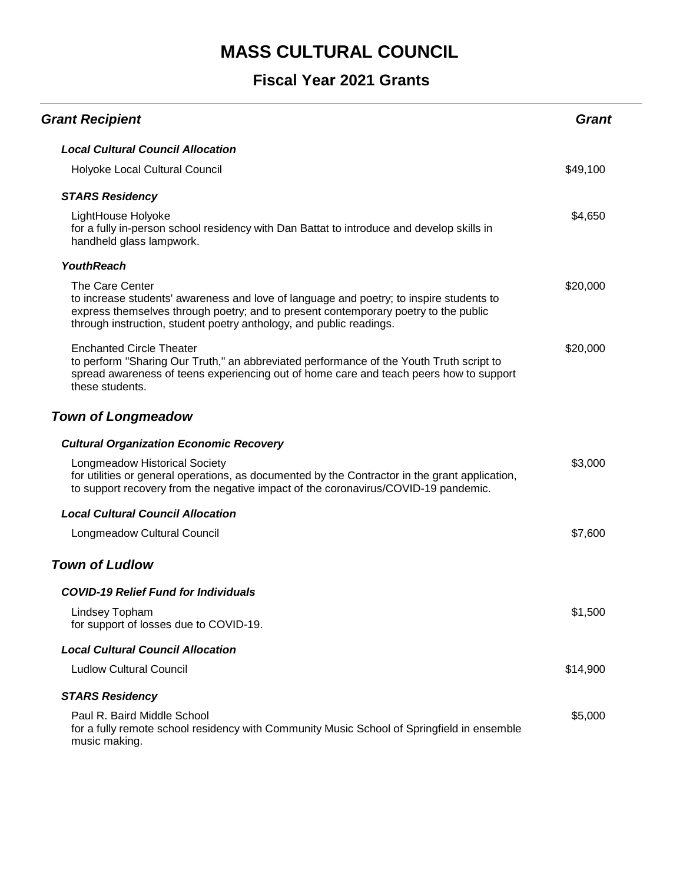| <b>Grant Recipient</b>                                                                                                                                                                                                                                                   | <b>Grant</b> |
|--------------------------------------------------------------------------------------------------------------------------------------------------------------------------------------------------------------------------------------------------------------------------|--------------|
| <b>Local Cultural Council Allocation</b>                                                                                                                                                                                                                                 |              |
| Holyoke Local Cultural Council                                                                                                                                                                                                                                           | \$49,100     |
| <b>STARS Residency</b>                                                                                                                                                                                                                                                   |              |
| LightHouse Holyoke<br>for a fully in-person school residency with Dan Battat to introduce and develop skills in<br>handheld glass lampwork.                                                                                                                              | \$4,650      |
| <b>YouthReach</b>                                                                                                                                                                                                                                                        |              |
| The Care Center<br>to increase students' awareness and love of language and poetry; to inspire students to<br>express themselves through poetry; and to present contemporary poetry to the public<br>through instruction, student poetry anthology, and public readings. | \$20,000     |
| <b>Enchanted Circle Theater</b><br>to perform "Sharing Our Truth," an abbreviated performance of the Youth Truth script to<br>spread awareness of teens experiencing out of home care and teach peers how to support<br>these students.                                  | \$20,000     |
| <b>Town of Longmeadow</b>                                                                                                                                                                                                                                                |              |
| <b>Cultural Organization Economic Recovery</b>                                                                                                                                                                                                                           |              |
| <b>Longmeadow Historical Society</b><br>for utilities or general operations, as documented by the Contractor in the grant application,<br>to support recovery from the negative impact of the coronavirus/COVID-19 pandemic.                                             | \$3,000      |
| <b>Local Cultural Council Allocation</b>                                                                                                                                                                                                                                 |              |
| Longmeadow Cultural Council                                                                                                                                                                                                                                              | \$7,600      |
| <b>Town of Ludlow</b>                                                                                                                                                                                                                                                    |              |
| <b>COVID-19 Relief Fund for Individuals</b>                                                                                                                                                                                                                              |              |
| Lindsey Topham<br>for support of losses due to COVID-19.                                                                                                                                                                                                                 | \$1,500      |
| <b>Local Cultural Council Allocation</b>                                                                                                                                                                                                                                 |              |
| <b>Ludlow Cultural Council</b>                                                                                                                                                                                                                                           | \$14,900     |
| <b>STARS Residency</b>                                                                                                                                                                                                                                                   |              |
| Paul R. Baird Middle School<br>for a fully remote school residency with Community Music School of Springfield in ensemble<br>music making.                                                                                                                               | \$5,000      |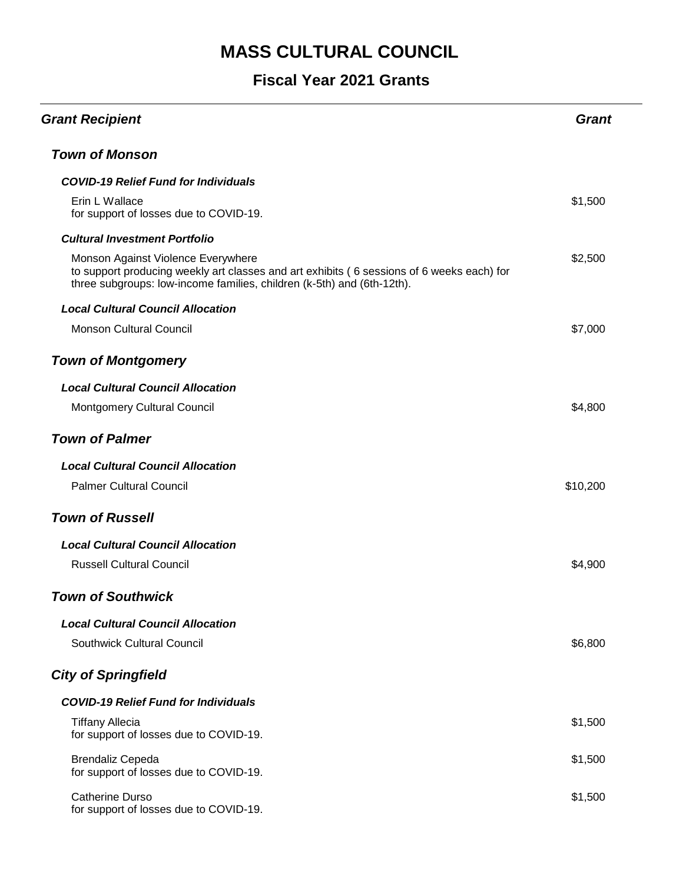| <b>Grant Recipient</b>                                                                                                                                                                                    | Grant    |
|-----------------------------------------------------------------------------------------------------------------------------------------------------------------------------------------------------------|----------|
| <b>Town of Monson</b>                                                                                                                                                                                     |          |
| <b>COVID-19 Relief Fund for Individuals</b>                                                                                                                                                               |          |
| Erin L Wallace<br>for support of losses due to COVID-19.                                                                                                                                                  | \$1,500  |
| <b>Cultural Investment Portfolio</b>                                                                                                                                                                      |          |
| Monson Against Violence Everywhere<br>to support producing weekly art classes and art exhibits (6 sessions of 6 weeks each) for<br>three subgroups: low-income families, children (k-5th) and (6th-12th). | \$2,500  |
| <b>Local Cultural Council Allocation</b>                                                                                                                                                                  |          |
| <b>Monson Cultural Council</b>                                                                                                                                                                            | \$7,000  |
| <b>Town of Montgomery</b>                                                                                                                                                                                 |          |
| <b>Local Cultural Council Allocation</b>                                                                                                                                                                  |          |
| <b>Montgomery Cultural Council</b>                                                                                                                                                                        | \$4,800  |
| <b>Town of Palmer</b>                                                                                                                                                                                     |          |
| <b>Local Cultural Council Allocation</b>                                                                                                                                                                  |          |
| <b>Palmer Cultural Council</b>                                                                                                                                                                            | \$10,200 |
| <b>Town of Russell</b>                                                                                                                                                                                    |          |
| <b>Local Cultural Council Allocation</b>                                                                                                                                                                  |          |
| <b>Russell Cultural Council</b>                                                                                                                                                                           | \$4,900  |
| <b>Town of Southwick</b>                                                                                                                                                                                  |          |
| <b>Local Cultural Council Allocation</b>                                                                                                                                                                  |          |
| Southwick Cultural Council                                                                                                                                                                                | \$6,800  |
| <b>City of Springfield</b>                                                                                                                                                                                |          |
| <b>COVID-19 Relief Fund for Individuals</b>                                                                                                                                                               |          |
| <b>Tiffany Allecia</b><br>for support of losses due to COVID-19.                                                                                                                                          | \$1,500  |
| <b>Brendaliz Cepeda</b><br>for support of losses due to COVID-19.                                                                                                                                         | \$1,500  |
| <b>Catherine Durso</b><br>for support of losses due to COVID-19.                                                                                                                                          | \$1,500  |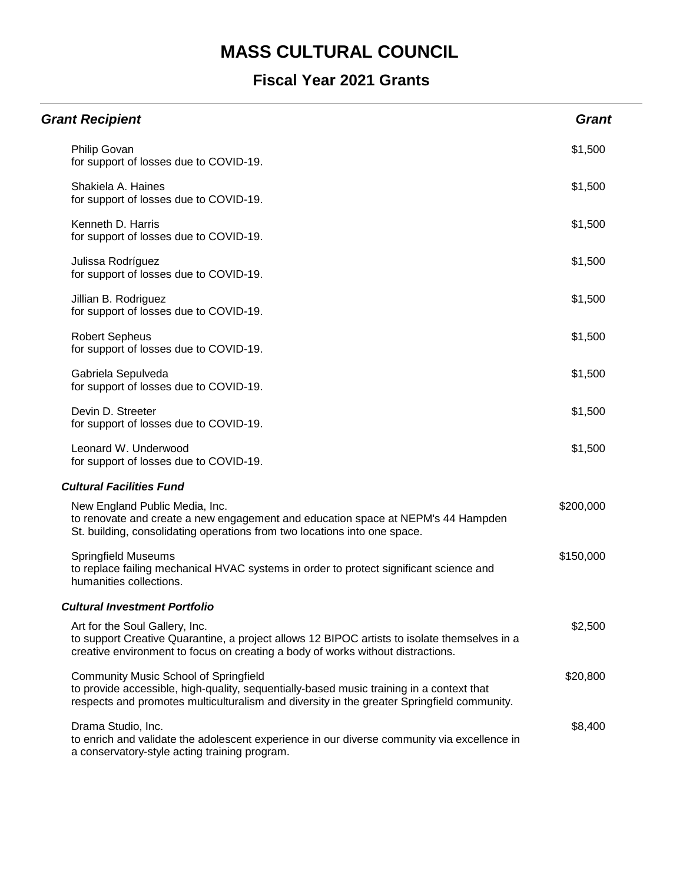| <b>Grant Recipient</b>                                                                                                                                                                                                                 | <b>Grant</b> |
|----------------------------------------------------------------------------------------------------------------------------------------------------------------------------------------------------------------------------------------|--------------|
| Philip Govan<br>for support of losses due to COVID-19.                                                                                                                                                                                 | \$1,500      |
| Shakiela A. Haines<br>for support of losses due to COVID-19.                                                                                                                                                                           | \$1,500      |
| Kenneth D. Harris<br>for support of losses due to COVID-19.                                                                                                                                                                            | \$1,500      |
| Julissa Rodríguez<br>for support of losses due to COVID-19.                                                                                                                                                                            | \$1,500      |
| Jillian B. Rodriguez<br>for support of losses due to COVID-19.                                                                                                                                                                         | \$1,500      |
| <b>Robert Sepheus</b><br>for support of losses due to COVID-19.                                                                                                                                                                        | \$1,500      |
| Gabriela Sepulveda<br>for support of losses due to COVID-19.                                                                                                                                                                           | \$1,500      |
| Devin D. Streeter<br>for support of losses due to COVID-19.                                                                                                                                                                            | \$1,500      |
| Leonard W. Underwood<br>for support of losses due to COVID-19.                                                                                                                                                                         | \$1,500      |
| <b>Cultural Facilities Fund</b>                                                                                                                                                                                                        |              |
| New England Public Media, Inc.<br>to renovate and create a new engagement and education space at NEPM's 44 Hampden<br>St. building, consolidating operations from two locations into one space.                                        | \$200,000    |
| <b>Springfield Museums</b><br>to replace failing mechanical HVAC systems in order to protect significant science and<br>humanities collections.                                                                                        | \$150,000    |
| <b>Cultural Investment Portfolio</b>                                                                                                                                                                                                   |              |
| Art for the Soul Gallery, Inc.<br>to support Creative Quarantine, a project allows 12 BIPOC artists to isolate themselves in a<br>creative environment to focus on creating a body of works without distractions.                      | \$2,500      |
| <b>Community Music School of Springfield</b><br>to provide accessible, high-quality, sequentially-based music training in a context that<br>respects and promotes multiculturalism and diversity in the greater Springfield community. | \$20,800     |
| Drama Studio, Inc.<br>to enrich and validate the adolescent experience in our diverse community via excellence in<br>a conservatory-style acting training program.                                                                     | \$8,400      |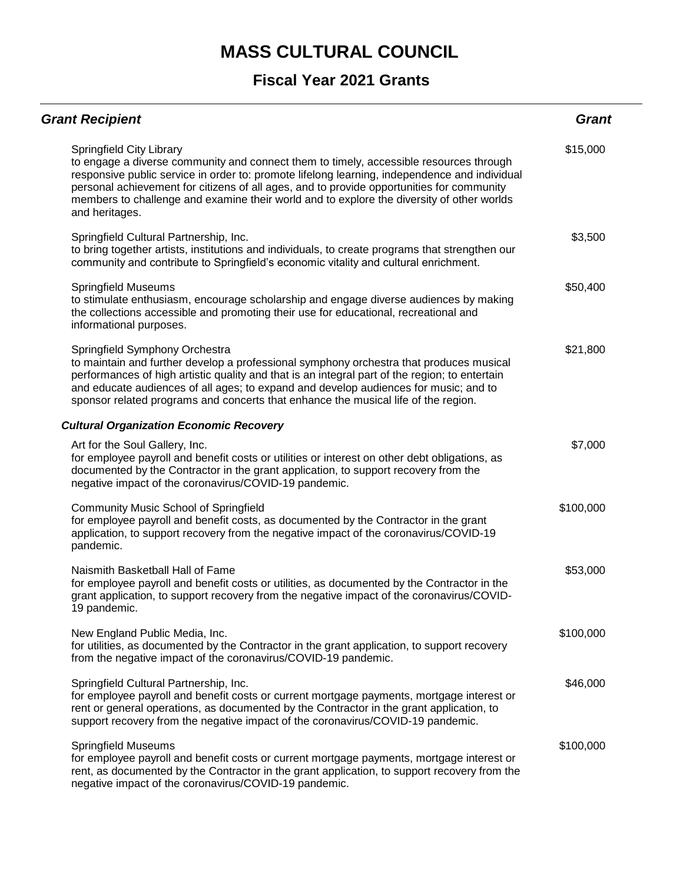| <b>Grant Recipient</b>                                                                                                                                                                                                                                                                                                                                                                                                          | <b>Grant</b> |
|---------------------------------------------------------------------------------------------------------------------------------------------------------------------------------------------------------------------------------------------------------------------------------------------------------------------------------------------------------------------------------------------------------------------------------|--------------|
| Springfield City Library<br>to engage a diverse community and connect them to timely, accessible resources through<br>responsive public service in order to: promote lifelong learning, independence and individual<br>personal achievement for citizens of all ages, and to provide opportunities for community<br>members to challenge and examine their world and to explore the diversity of other worlds<br>and heritages. | \$15,000     |
| Springfield Cultural Partnership, Inc.<br>to bring together artists, institutions and individuals, to create programs that strengthen our<br>community and contribute to Springfield's economic vitality and cultural enrichment.                                                                                                                                                                                               | \$3,500      |
| <b>Springfield Museums</b><br>to stimulate enthusiasm, encourage scholarship and engage diverse audiences by making<br>the collections accessible and promoting their use for educational, recreational and<br>informational purposes.                                                                                                                                                                                          | \$50,400     |
| Springfield Symphony Orchestra<br>to maintain and further develop a professional symphony orchestra that produces musical<br>performances of high artistic quality and that is an integral part of the region; to entertain<br>and educate audiences of all ages; to expand and develop audiences for music; and to<br>sponsor related programs and concerts that enhance the musical life of the region.                       | \$21,800     |
| <b>Cultural Organization Economic Recovery</b>                                                                                                                                                                                                                                                                                                                                                                                  |              |
| Art for the Soul Gallery, Inc.<br>for employee payroll and benefit costs or utilities or interest on other debt obligations, as<br>documented by the Contractor in the grant application, to support recovery from the<br>negative impact of the coronavirus/COVID-19 pandemic.                                                                                                                                                 | \$7,000      |
| <b>Community Music School of Springfield</b><br>for employee payroll and benefit costs, as documented by the Contractor in the grant<br>application, to support recovery from the negative impact of the coronavirus/COVID-19<br>pandemic.                                                                                                                                                                                      | \$100,000    |
| Naismith Basketball Hall of Fame<br>for employee payroll and benefit costs or utilities, as documented by the Contractor in the<br>grant application, to support recovery from the negative impact of the coronavirus/COVID-<br>19 pandemic.                                                                                                                                                                                    | \$53,000     |
| New England Public Media, Inc.<br>for utilities, as documented by the Contractor in the grant application, to support recovery<br>from the negative impact of the coronavirus/COVID-19 pandemic.                                                                                                                                                                                                                                | \$100,000    |
| Springfield Cultural Partnership, Inc.<br>for employee payroll and benefit costs or current mortgage payments, mortgage interest or<br>rent or general operations, as documented by the Contractor in the grant application, to<br>support recovery from the negative impact of the coronavirus/COVID-19 pandemic.                                                                                                              | \$46,000     |
| <b>Springfield Museums</b><br>for employee payroll and benefit costs or current mortgage payments, mortgage interest or<br>rent, as documented by the Contractor in the grant application, to support recovery from the<br>negative impact of the coronavirus/COVID-19 pandemic.                                                                                                                                                | \$100,000    |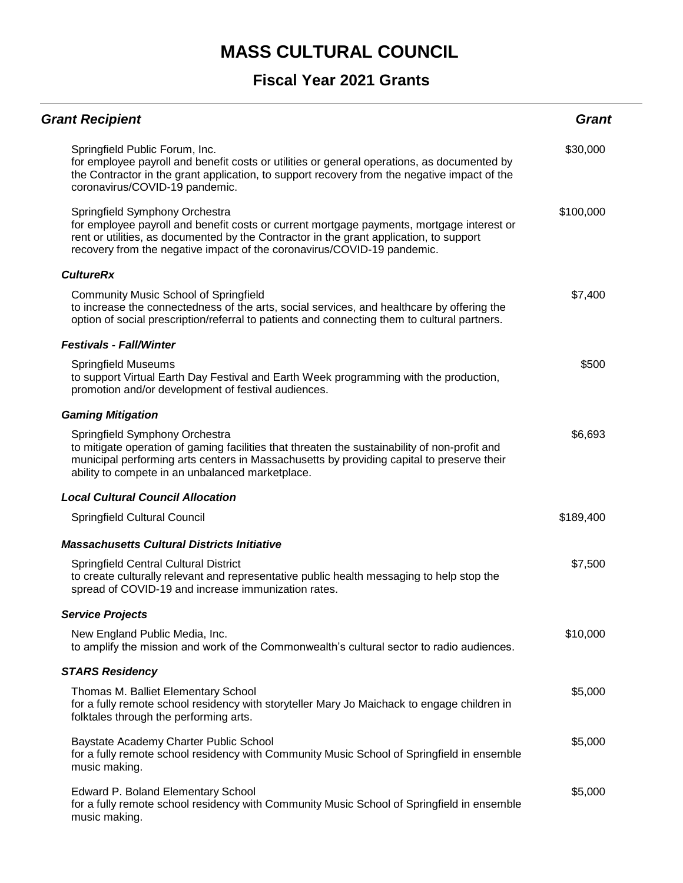| <b>Grant Recipient</b>                                                                                                                                                                                                                                                                            | <b>Grant</b> |
|---------------------------------------------------------------------------------------------------------------------------------------------------------------------------------------------------------------------------------------------------------------------------------------------------|--------------|
| Springfield Public Forum, Inc.<br>for employee payroll and benefit costs or utilities or general operations, as documented by<br>the Contractor in the grant application, to support recovery from the negative impact of the<br>coronavirus/COVID-19 pandemic.                                   | \$30,000     |
| Springfield Symphony Orchestra<br>for employee payroll and benefit costs or current mortgage payments, mortgage interest or<br>rent or utilities, as documented by the Contractor in the grant application, to support<br>recovery from the negative impact of the coronavirus/COVID-19 pandemic. | \$100,000    |
| <b>CultureRx</b>                                                                                                                                                                                                                                                                                  |              |
| <b>Community Music School of Springfield</b><br>to increase the connectedness of the arts, social services, and healthcare by offering the<br>option of social prescription/referral to patients and connecting them to cultural partners.                                                        | \$7,400      |
| <b>Festivals - Fall/Winter</b>                                                                                                                                                                                                                                                                    |              |
| <b>Springfield Museums</b><br>to support Virtual Earth Day Festival and Earth Week programming with the production,<br>promotion and/or development of festival audiences.                                                                                                                        | \$500        |
| <b>Gaming Mitigation</b>                                                                                                                                                                                                                                                                          |              |
| Springfield Symphony Orchestra<br>to mitigate operation of gaming facilities that threaten the sustainability of non-profit and<br>municipal performing arts centers in Massachusetts by providing capital to preserve their<br>ability to compete in an unbalanced marketplace.                  | \$6,693      |
| <b>Local Cultural Council Allocation</b>                                                                                                                                                                                                                                                          |              |
| Springfield Cultural Council                                                                                                                                                                                                                                                                      | \$189,400    |
| <b>Massachusetts Cultural Districts Initiative</b>                                                                                                                                                                                                                                                |              |
| <b>Springfield Central Cultural District</b><br>to create culturally relevant and representative public health messaging to help stop the<br>spread of COVID-19 and increase immunization rates.                                                                                                  | \$7,500      |
| <b>Service Projects</b>                                                                                                                                                                                                                                                                           |              |
| New England Public Media, Inc.<br>to amplify the mission and work of the Commonwealth's cultural sector to radio audiences.                                                                                                                                                                       | \$10,000     |
| <b>STARS Residency</b>                                                                                                                                                                                                                                                                            |              |
| Thomas M. Balliet Elementary School<br>for a fully remote school residency with storyteller Mary Jo Maichack to engage children in<br>folktales through the performing arts.                                                                                                                      | \$5,000      |
| Baystate Academy Charter Public School<br>for a fully remote school residency with Community Music School of Springfield in ensemble<br>music making.                                                                                                                                             | \$5,000      |
| <b>Edward P. Boland Elementary School</b><br>for a fully remote school residency with Community Music School of Springfield in ensemble<br>music making.                                                                                                                                          | \$5,000      |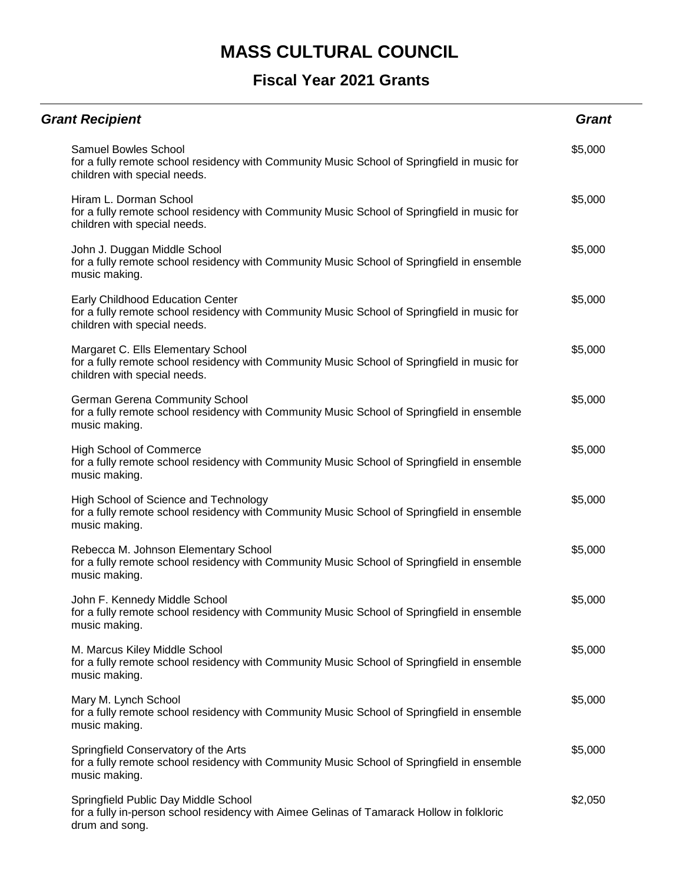| <b>Grant Recipient</b>                                                                                                                                                 | <b>Grant</b> |
|------------------------------------------------------------------------------------------------------------------------------------------------------------------------|--------------|
| <b>Samuel Bowles School</b><br>for a fully remote school residency with Community Music School of Springfield in music for<br>children with special needs.             | \$5,000      |
| Hiram L. Dorman School<br>for a fully remote school residency with Community Music School of Springfield in music for<br>children with special needs.                  | \$5,000      |
| John J. Duggan Middle School<br>for a fully remote school residency with Community Music School of Springfield in ensemble<br>music making.                            | \$5,000      |
| <b>Early Childhood Education Center</b><br>for a fully remote school residency with Community Music School of Springfield in music for<br>children with special needs. | \$5,000      |
| Margaret C. Ells Elementary School<br>for a fully remote school residency with Community Music School of Springfield in music for<br>children with special needs.      | \$5,000      |
| German Gerena Community School<br>for a fully remote school residency with Community Music School of Springfield in ensemble<br>music making.                          | \$5,000      |
| <b>High School of Commerce</b><br>for a fully remote school residency with Community Music School of Springfield in ensemble<br>music making.                          | \$5,000      |
| High School of Science and Technology<br>for a fully remote school residency with Community Music School of Springfield in ensemble<br>music making.                   | \$5,000      |
| Rebecca M. Johnson Elementary School<br>for a fully remote school residency with Community Music School of Springfield in ensemble<br>music making.                    | \$5,000      |
| John F. Kennedy Middle School<br>for a fully remote school residency with Community Music School of Springfield in ensemble<br>music making.                           | \$5,000      |
| M. Marcus Kiley Middle School<br>for a fully remote school residency with Community Music School of Springfield in ensemble<br>music making.                           | \$5,000      |
| Mary M. Lynch School<br>for a fully remote school residency with Community Music School of Springfield in ensemble<br>music making.                                    | \$5,000      |
| Springfield Conservatory of the Arts<br>for a fully remote school residency with Community Music School of Springfield in ensemble<br>music making.                    | \$5,000      |
| Springfield Public Day Middle School<br>for a fully in-person school residency with Aimee Gelinas of Tamarack Hollow in folkloric<br>drum and song.                    | \$2,050      |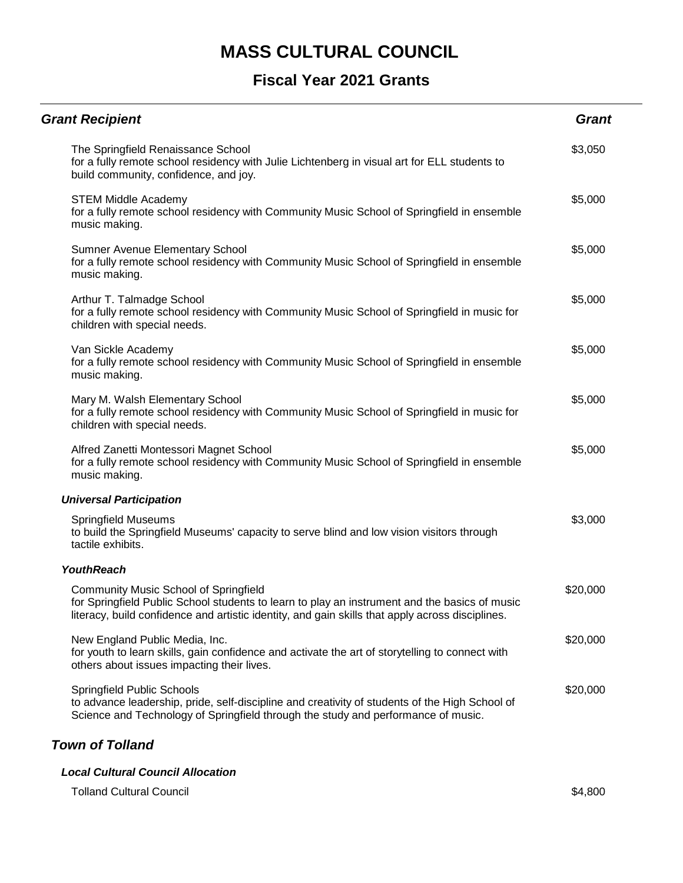#### **Fiscal Year 2021 Grants**

| <b>Grant Recipient</b>                                                                                                                                                                                                                            | <b>Grant</b> |
|---------------------------------------------------------------------------------------------------------------------------------------------------------------------------------------------------------------------------------------------------|--------------|
| The Springfield Renaissance School<br>for a fully remote school residency with Julie Lichtenberg in visual art for ELL students to<br>build community, confidence, and joy.                                                                       | \$3,050      |
| <b>STEM Middle Academy</b><br>for a fully remote school residency with Community Music School of Springfield in ensemble<br>music making.                                                                                                         | \$5,000      |
| Sumner Avenue Elementary School<br>for a fully remote school residency with Community Music School of Springfield in ensemble<br>music making.                                                                                                    | \$5,000      |
| Arthur T. Talmadge School<br>for a fully remote school residency with Community Music School of Springfield in music for<br>children with special needs.                                                                                          | \$5,000      |
| Van Sickle Academy<br>for a fully remote school residency with Community Music School of Springfield in ensemble<br>music making.                                                                                                                 | \$5,000      |
| Mary M. Walsh Elementary School<br>for a fully remote school residency with Community Music School of Springfield in music for<br>children with special needs.                                                                                    | \$5,000      |
| Alfred Zanetti Montessori Magnet School<br>for a fully remote school residency with Community Music School of Springfield in ensemble<br>music making.                                                                                            | \$5,000      |
| <b>Universal Participation</b>                                                                                                                                                                                                                    |              |
| <b>Springfield Museums</b><br>to build the Springfield Museums' capacity to serve blind and low vision visitors through<br>tactile exhibits.                                                                                                      | \$3,000      |
| <b>YouthReach</b>                                                                                                                                                                                                                                 |              |
| <b>Community Music School of Springfield</b><br>for Springfield Public School students to learn to play an instrument and the basics of music<br>literacy, build confidence and artistic identity, and gain skills that apply across disciplines. | \$20,000     |
| New England Public Media, Inc.<br>for youth to learn skills, gain confidence and activate the art of storytelling to connect with<br>others about issues impacting their lives.                                                                   | \$20,000     |
| Springfield Public Schools<br>to advance leadership, pride, self-discipline and creativity of students of the High School of<br>Science and Technology of Springfield through the study and performance of music.                                 | \$20,000     |

#### *Town of Tolland*

#### *Local Cultural Council Allocation*

Tolland Cultural Council \$4,800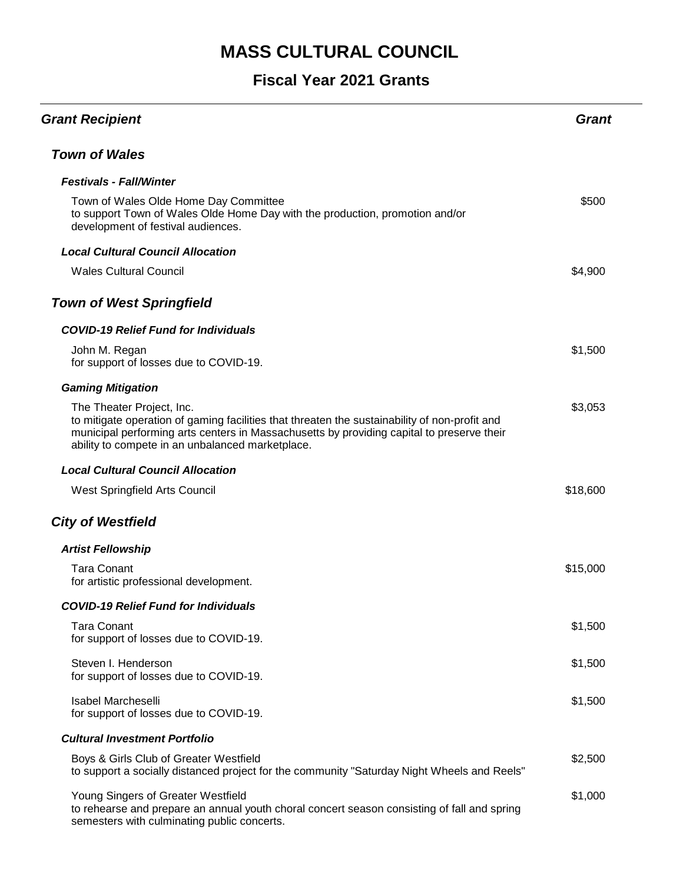| <b>Grant Recipient</b>                                                                                                                                                                                                                                                      | <b>Grant</b> |
|-----------------------------------------------------------------------------------------------------------------------------------------------------------------------------------------------------------------------------------------------------------------------------|--------------|
| <b>Town of Wales</b>                                                                                                                                                                                                                                                        |              |
| <b>Festivals - Fall/Winter</b>                                                                                                                                                                                                                                              |              |
| Town of Wales Olde Home Day Committee<br>to support Town of Wales Olde Home Day with the production, promotion and/or<br>development of festival audiences.                                                                                                                 | \$500        |
| <b>Local Cultural Council Allocation</b>                                                                                                                                                                                                                                    |              |
| <b>Wales Cultural Council</b>                                                                                                                                                                                                                                               | \$4,900      |
| <b>Town of West Springfield</b>                                                                                                                                                                                                                                             |              |
| <b>COVID-19 Relief Fund for Individuals</b>                                                                                                                                                                                                                                 |              |
| John M. Regan<br>for support of losses due to COVID-19.                                                                                                                                                                                                                     | \$1,500      |
| <b>Gaming Mitigation</b>                                                                                                                                                                                                                                                    |              |
| The Theater Project, Inc.<br>to mitigate operation of gaming facilities that threaten the sustainability of non-profit and<br>municipal performing arts centers in Massachusetts by providing capital to preserve their<br>ability to compete in an unbalanced marketplace. | \$3,053      |
| <b>Local Cultural Council Allocation</b>                                                                                                                                                                                                                                    |              |
| West Springfield Arts Council                                                                                                                                                                                                                                               | \$18,600     |
| <b>City of Westfield</b>                                                                                                                                                                                                                                                    |              |
| <b>Artist Fellowship</b>                                                                                                                                                                                                                                                    |              |
| <b>Tara Conant</b><br>for artistic professional development.                                                                                                                                                                                                                | \$15,000     |
| <b>COVID-19 Relief Fund for Individuals</b>                                                                                                                                                                                                                                 |              |
| <b>Tara Conant</b><br>for support of losses due to COVID-19.                                                                                                                                                                                                                | \$1,500      |
| Steven I. Henderson<br>for support of losses due to COVID-19.                                                                                                                                                                                                               | \$1,500      |
| <b>Isabel Marcheselli</b><br>for support of losses due to COVID-19.                                                                                                                                                                                                         | \$1,500      |
| <b>Cultural Investment Portfolio</b>                                                                                                                                                                                                                                        |              |
| Boys & Girls Club of Greater Westfield<br>to support a socially distanced project for the community "Saturday Night Wheels and Reels"                                                                                                                                       | \$2,500      |
| Young Singers of Greater Westfield<br>to rehearse and prepare an annual youth choral concert season consisting of fall and spring<br>semesters with culminating public concerts.                                                                                            | \$1,000      |